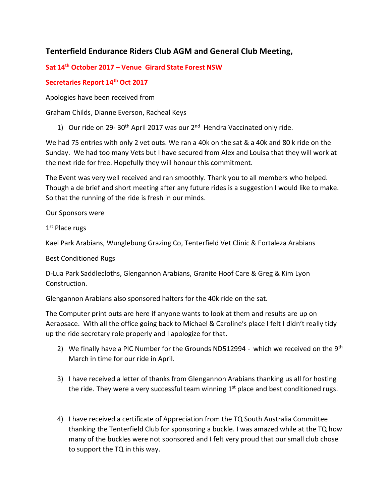## **Tenterfield Endurance Riders Club AGM and General Club Meeting,**

## **Sat 14th October 2017 – Venue Girard State Forest NSW**

## **Secretaries Report 14th Oct 2017**

Apologies have been received from

Graham Childs, Dianne Everson, Racheal Keys

1) Our ride on 29-30<sup>th</sup> April 2017 was our 2<sup>nd</sup> Hendra Vaccinated only ride.

We had 75 entries with only 2 vet outs. We ran a 40k on the sat & a 40k and 80 k ride on the Sunday. We had too many Vets but I have secured from Alex and Louisa that they will work at the next ride for free. Hopefully they will honour this commitment.

The Event was very well received and ran smoothly. Thank you to all members who helped. Though a de brief and short meeting after any future rides is a suggestion I would like to make. So that the running of the ride is fresh in our minds.

Our Sponsors were

1<sup>st</sup> Place rugs

Kael Park Arabians, Wunglebung Grazing Co, Tenterfield Vet Clinic & Fortaleza Arabians

Best Conditioned Rugs

D-Lua Park Saddlecloths, Glengannon Arabians, Granite Hoof Care & Greg & Kim Lyon Construction.

Glengannon Arabians also sponsored halters for the 40k ride on the sat.

The Computer print outs are here if anyone wants to look at them and results are up on Aerapsace. With all the office going back to Michael & Caroline's place I felt I didn't really tidy up the ride secretary role properly and I apologize for that.

- 2) We finally have a PIC Number for the Grounds ND512994 which we received on the  $9<sup>th</sup>$ March in time for our ride in April.
- 3) I have received a letter of thanks from Glengannon Arabians thanking us all for hosting the ride. They were a very successful team winning  $1<sup>st</sup>$  place and best conditioned rugs.
- 4) I have received a certificate of Appreciation from the TQ South Australia Committee thanking the Tenterfield Club for sponsoring a buckle. I was amazed while at the TQ how many of the buckles were not sponsored and I felt very proud that our small club chose to support the TQ in this way.